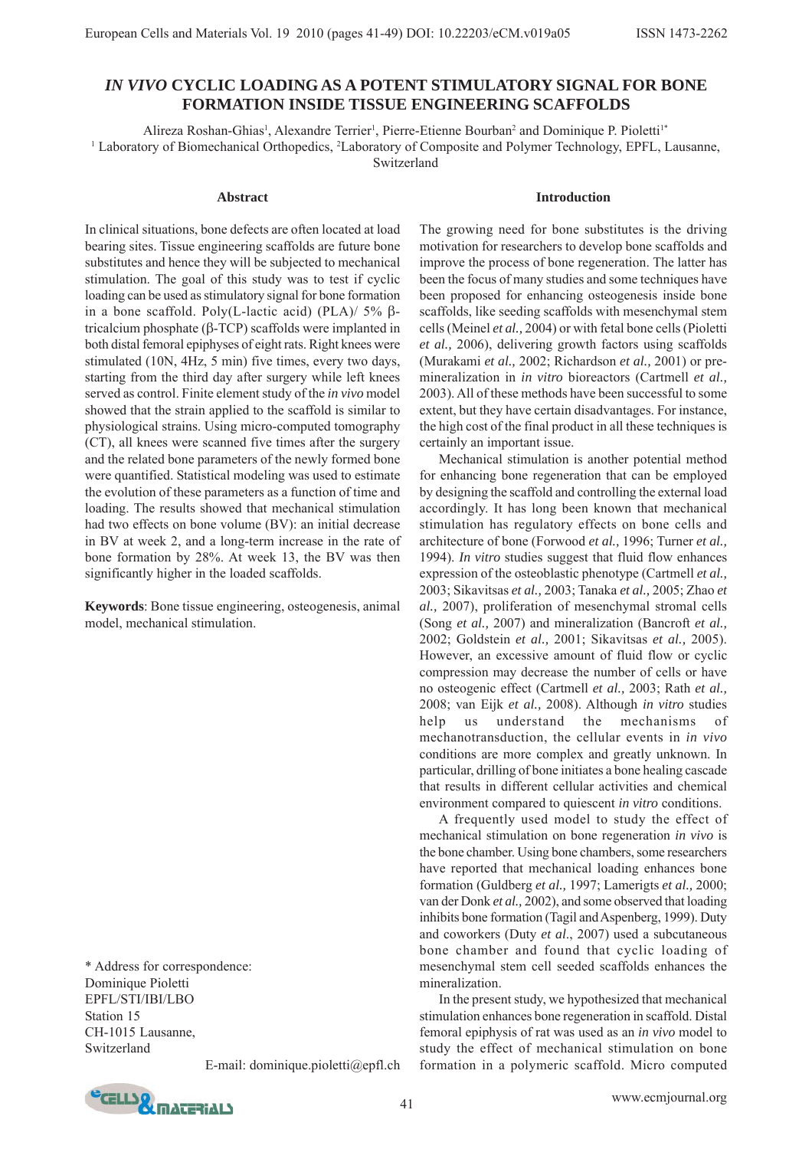# *IN VIVO* **CYCLIC LOADING AS A POTENT STIMULATORY SIGNAL FOR BONE FORMATION INSIDE TISSUE ENGINEERING SCAFFOLDS**

Alireza Roshan-Ghias<sup>1</sup>, Alexandre Terrier<sup>1</sup>, Pierre-Etienne Bourban<sup>2</sup> and Dominique P. Pioletti<sup>1\*</sup> <sup>1</sup> Laboratory of Biomechanical Orthopedics, <sup>2</sup>Laboratory of Composite and Polymer Technology, EPFL, Lausanne, Switzerland

#### **Abstract**

**Introduction**

In clinical situations, bone defects are often located at load bearing sites. Tissue engineering scaffolds are future bone substitutes and hence they will be subjected to mechanical stimulation. The goal of this study was to test if cyclic loading can be used as stimulatory signal for bone formation in a bone scaffold. Poly(L-lactic acid) (PLA)/ 5% βtricalcium phosphate (β-TCP) scaffolds were implanted in both distal femoral epiphyses of eight rats. Right knees were stimulated (10N, 4Hz, 5 min) five times, every two days, starting from the third day after surgery while left knees served as control. Finite element study of the *in vivo* model showed that the strain applied to the scaffold is similar to physiological strains. Using micro-computed tomography (CT), all knees were scanned five times after the surgery and the related bone parameters of the newly formed bone were quantified. Statistical modeling was used to estimate the evolution of these parameters as a function of time and loading. The results showed that mechanical stimulation had two effects on bone volume (BV): an initial decrease in BV at week 2, and a long-term increase in the rate of bone formation by 28%. At week 13, the BV was then significantly higher in the loaded scaffolds.

**Keywords**: Bone tissue engineering, osteogenesis, animal model, mechanical stimulation.

\* Address for correspondence: Dominique Pioletti EPFL/STI/IBI/LBO Station 15 CH-1015 Lausanne, Switzerland

E-mail: dominique.pioletti@epfl.ch



The growing need for bone substitutes is the driving motivation for researchers to develop bone scaffolds and improve the process of bone regeneration. The latter has been the focus of many studies and some techniques have been proposed for enhancing osteogenesis inside bone scaffolds, like seeding scaffolds with mesenchymal stem cells (Meinel *et al.,* 2004) or with fetal bone cells (Pioletti *et al.,* 2006), delivering growth factors using scaffolds (Murakami *et al.,* 2002; Richardson *et al.,* 2001) or premineralization in *in vitro* bioreactors (Cartmell *et al.,* 2003). All of these methods have been successful to some extent, but they have certain disadvantages. For instance, the high cost of the final product in all these techniques is certainly an important issue.

Mechanical stimulation is another potential method for enhancing bone regeneration that can be employed by designing the scaffold and controlling the external load accordingly. It has long been known that mechanical stimulation has regulatory effects on bone cells and architecture of bone (Forwood *et al.,* 1996; Turner *et al.,* 1994). *In vitro* studies suggest that fluid flow enhances expression of the osteoblastic phenotype (Cartmell *et al.,* 2003; Sikavitsas *et al.,* 2003; Tanaka *et al.,* 2005; Zhao *et al.,* 2007), proliferation of mesenchymal stromal cells (Song *et al.,* 2007) and mineralization (Bancroft *et al.,* 2002; Goldstein *et al.,* 2001; Sikavitsas *et al.,* 2005). However, an excessive amount of fluid flow or cyclic compression may decrease the number of cells or have no osteogenic effect (Cartmell *et al.,* 2003; Rath *et al.,* 2008; van Eijk *et al.,* 2008). Although *in vitro* studies help us understand the mechanisms of mechanotransduction, the cellular events in *in vivo* conditions are more complex and greatly unknown. In particular, drilling of bone initiates a bone healing cascade that results in different cellular activities and chemical environment compared to quiescent *in vitro* conditions.

A frequently used model to study the effect of mechanical stimulation on bone regeneration *in vivo* is the bone chamber. Using bone chambers, some researchers have reported that mechanical loading enhances bone formation (Guldberg *et al.,* 1997; Lamerigts *et al.,* 2000; van der Donk *et al.,* 2002), and some observed that loading inhibits bone formation (Tagil and Aspenberg, 1999). Duty and coworkers (Duty *et al*., 2007) used a subcutaneous bone chamber and found that cyclic loading of mesenchymal stem cell seeded scaffolds enhances the mineralization.

In the present study, we hypothesized that mechanical stimulation enhances bone regeneration in scaffold. Distal femoral epiphysis of rat was used as an *in vivo* model to study the effect of mechanical stimulation on bone formation in a polymeric scaffold. Micro computed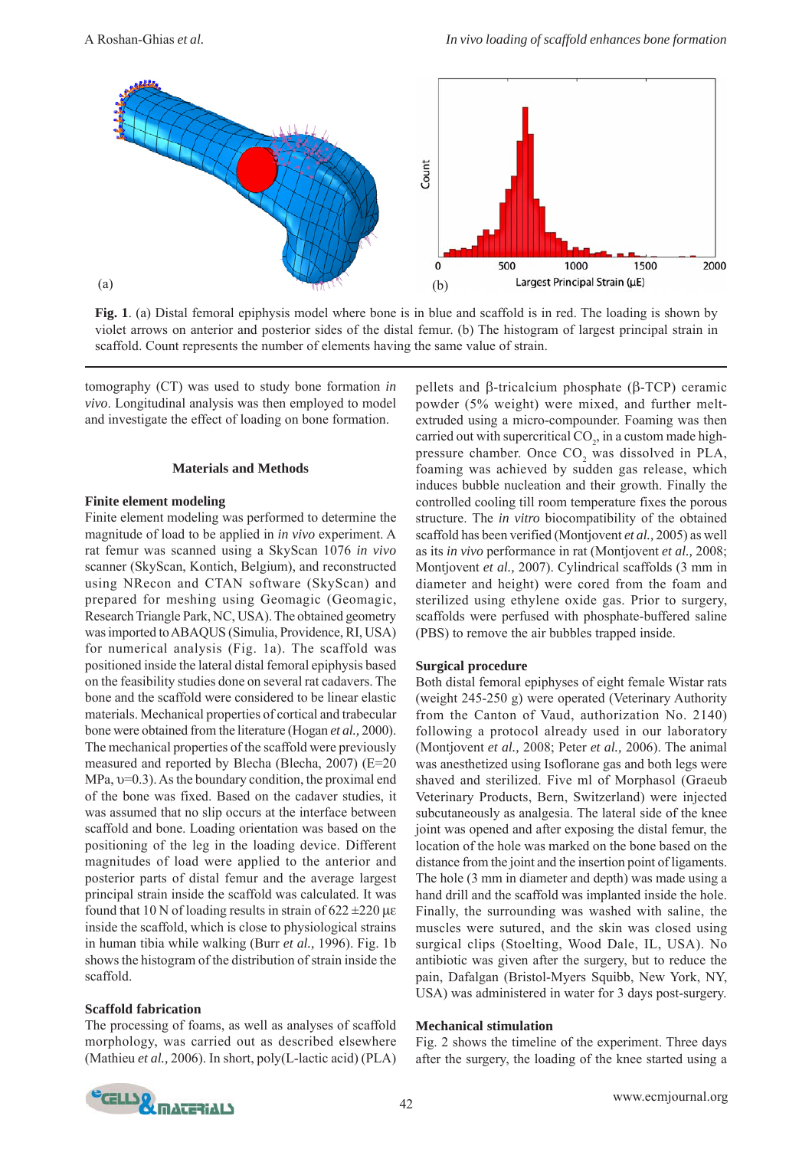

**Fig. 1**. (a) Distal femoral epiphysis model where bone is in blue and scaffold is in red. The loading is shown by violet arrows on anterior and posterior sides of the distal femur. (b) The histogram of largest principal strain in scaffold. Count represents the number of elements having the same value of strain.

tomography (CT) was used to study bone formation *in vivo*. Longitudinal analysis was then employed to model and investigate the effect of loading on bone formation.

### **Materials and Methods**

### **Finite element modeling**

Finite element modeling was performed to determine the magnitude of load to be applied in *in vivo* experiment. A rat femur was scanned using a SkyScan 1076 *in vivo* scanner (SkyScan, Kontich, Belgium), and reconstructed using NRecon and CTAN software (SkyScan) and prepared for meshing using Geomagic (Geomagic, Research Triangle Park, NC, USA). The obtained geometry was imported to ABAQUS (Simulia, Providence, RI, USA) for numerical analysis (Fig. 1a). The scaffold was positioned inside the lateral distal femoral epiphysis based on the feasibility studies done on several rat cadavers. The bone and the scaffold were considered to be linear elastic materials. Mechanical properties of cortical and trabecular bone were obtained from the literature (Hogan *et al.,* 2000). The mechanical properties of the scaffold were previously measured and reported by Blecha (Blecha, 2007) (E=20 MPa, υ=0.3). As the boundary condition, the proximal end of the bone was fixed. Based on the cadaver studies, it was assumed that no slip occurs at the interface between scaffold and bone. Loading orientation was based on the positioning of the leg in the loading device. Different magnitudes of load were applied to the anterior and posterior parts of distal femur and the average largest principal strain inside the scaffold was calculated. It was found that 10 N of loading results in strain of  $622 \pm 220 \,\mu\text{s}$ inside the scaffold, which is close to physiological strains in human tibia while walking (Burr *et al.,* 1996). Fig. 1b shows the histogram of the distribution of strain inside the scaffold.

# **Scaffold fabrication**

The processing of foams, as well as analyses of scaffold morphology, was carried out as described elsewhere (Mathieu *et al.,* 2006). In short, poly(L-lactic acid) (PLA) pellets and β-tricalcium phosphate (β-TCP) ceramic powder (5% weight) were mixed, and further meltextruded using a micro-compounder. Foaming was then carried out with supercritical  $CO_2$ , in a custom made highpressure chamber. Once  $CO_2$  was dissolved in PLA, foaming was achieved by sudden gas release, which induces bubble nucleation and their growth. Finally the controlled cooling till room temperature fixes the porous structure. The *in vitro* biocompatibility of the obtained scaffold has been verified (Montjovent *et al.,* 2005) as well as its *in vivo* performance in rat (Montjovent *et al.,* 2008; Montjovent *et al.,* 2007). Cylindrical scaffolds (3 mm in diameter and height) were cored from the foam and sterilized using ethylene oxide gas. Prior to surgery, scaffolds were perfused with phosphate-buffered saline (PBS) to remove the air bubbles trapped inside.

#### **Surgical procedure**

Both distal femoral epiphyses of eight female Wistar rats (weight 245-250 g) were operated (Veterinary Authority from the Canton of Vaud, authorization No. 2140) following a protocol already used in our laboratory (Montjovent *et al.,* 2008; Peter *et al.,* 2006). The animal was anesthetized using Isoflorane gas and both legs were shaved and sterilized. Five ml of Morphasol (Graeub Veterinary Products, Bern, Switzerland) were injected subcutaneously as analgesia. The lateral side of the knee joint was opened and after exposing the distal femur, the location of the hole was marked on the bone based on the distance from the joint and the insertion point of ligaments. The hole (3 mm in diameter and depth) was made using a hand drill and the scaffold was implanted inside the hole. Finally, the surrounding was washed with saline, the muscles were sutured, and the skin was closed using surgical clips (Stoelting, Wood Dale, IL, USA). No antibiotic was given after the surgery, but to reduce the pain, Dafalgan (Bristol-Myers Squibb, New York, NY, USA) was administered in water for 3 days post-surgery.

# **Mechanical stimulation**

Fig. 2 shows the timeline of the experiment. Three days after the surgery, the loading of the knee started using a

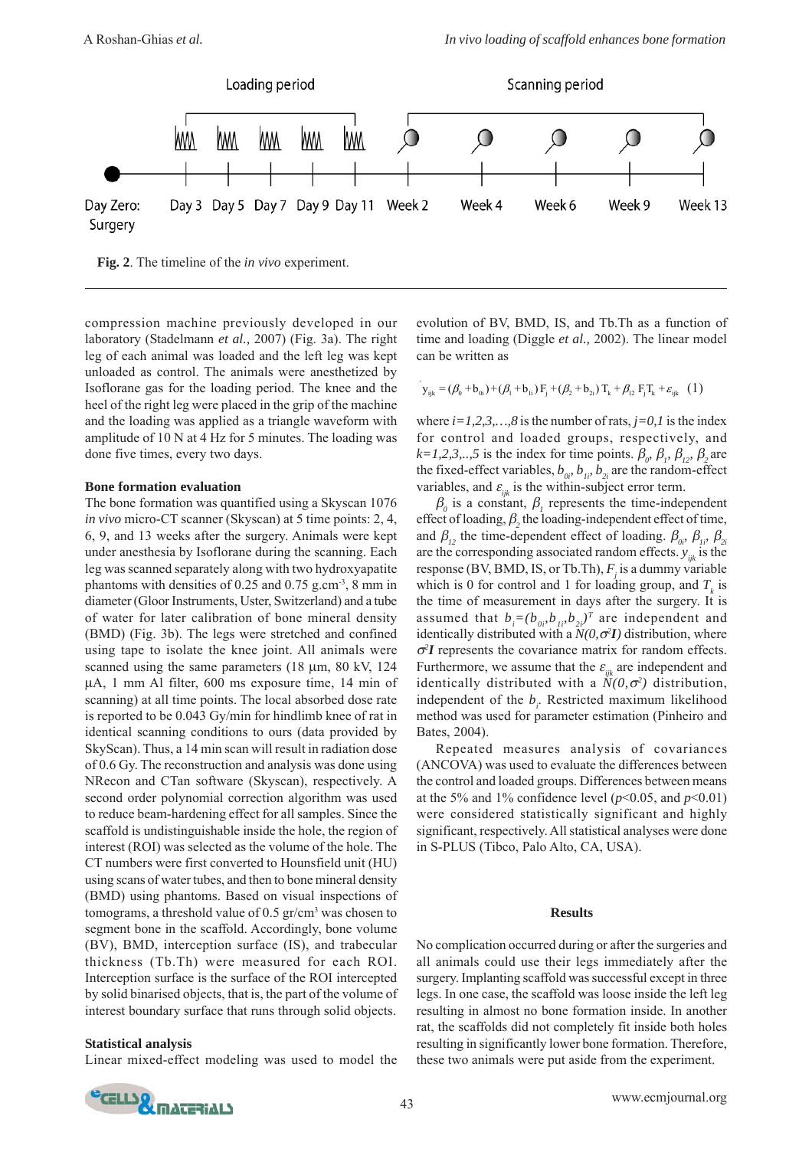

**Fig. 2**. The timeline of the *in vivo* experiment.

compression machine previously developed in our laboratory (Stadelmann *et al.,* 2007) (Fig. 3a). The right leg of each animal was loaded and the left leg was kept unloaded as control. The animals were anesthetized by Isoflorane gas for the loading period. The knee and the heel of the right leg were placed in the grip of the machine and the loading was applied as a triangle waveform with amplitude of 10 N at 4 Hz for 5 minutes. The loading was done five times, every two days.

### **Bone formation evaluation**

The bone formation was quantified using a Skyscan 1076 *in vivo* micro-CT scanner (Skyscan) at 5 time points: 2, 4, 6, 9, and 13 weeks after the surgery. Animals were kept under anesthesia by Isoflorane during the scanning. Each leg was scanned separately along with two hydroxyapatite phantoms with densities of  $0.25$  and  $0.75$  g.cm<sup>-3</sup>, 8 mm in diameter (Gloor Instruments, Uster, Switzerland) and a tube of water for later calibration of bone mineral density (BMD) (Fig. 3b). The legs were stretched and confined using tape to isolate the knee joint. All animals were scanned using the same parameters (18 μm, 80 kV, 124 μA, 1 mm Al filter, 600 ms exposure time, 14 min of scanning) at all time points. The local absorbed dose rate is reported to be 0.043 Gy/min for hindlimb knee of rat in identical scanning conditions to ours (data provided by SkyScan). Thus, a 14 min scan will result in radiation dose of 0.6 Gy. The reconstruction and analysis was done using NRecon and CTan software (Skyscan), respectively. A second order polynomial correction algorithm was used to reduce beam-hardening effect for all samples. Since the scaffold is undistinguishable inside the hole, the region of interest (ROI) was selected as the volume of the hole. The CT numbers were first converted to Hounsfield unit (HU) using scans of water tubes, and then to bone mineral density (BMD) using phantoms. Based on visual inspections of tomograms, a threshold value of 0.5 gr/cm<sup>3</sup> was chosen to segment bone in the scaffold. Accordingly, bone volume (BV), BMD, interception surface (IS), and trabecular thickness (Tb.Th) were measured for each ROI. Interception surface is the surface of the ROI intercepted by solid binarised objects, that is, the part of the volume of interest boundary surface that runs through solid objects.

### **Statistical analysis**

Linear mixed-effect modeling was used to model the

evolution of BV, BMD, IS, and Tb.Th as a function of time and loading (Diggle *et al.,* 2002). The linear model can be written as

$$
\mathbf{y}_{ijk} = (\beta_0 + \mathbf{b}_{0i}) + (\beta_1 + \mathbf{b}_{1i}) \mathbf{F}_j + (\beta_2 + \mathbf{b}_{2i}) \mathbf{T}_k + \beta_{12} \mathbf{F}_j \mathbf{T}_k + \varepsilon_{ijk} \quad (1)
$$

where  $i=1,2,3,...,8$  is the number of rats,  $j=0,1$  is the index for control and loaded groups, respectively, and  $k=1,2,3,..,5$  is the index for time points.  $\beta_{0}$ ,  $\beta_{1}$ ,  $\beta_{12}$ ,  $\beta_{2}$  are the fixed-effect variables,  $b_{0i}$ ,  $b_{1i}$ ,  $b_{2i}$  are the random-effect variables, and  $\varepsilon_{ik}$  is the within-subject error term.

 $\beta$ <sub>o</sub> is a constant,  $\beta$ , represents the time-independent effect of loading,  $\beta$ , the loading-independent effect of time, and  $\beta_i$ , the time-dependent effect of loading.  $\beta_{0i}$ ,  $\beta_{1i}$ ,  $\beta_{2i}$ are the corresponding associated random effects.  $y_{ijk}$  is the response (BV, BMD, IS, or Tb.Th),  $F_j$  is a dummy variable which is 0 for control and 1 for loading group, and  $T_k$  is the time of measurement in days after the surgery. It is assumed that  $b_i = (b_{0i}, b_{1i}, b_{2i})^T$  are independent and identically distributed with a *N(0,*σ*<sup>2</sup> I)* distribution, where  $\sigma$ <sup>2</sup>*I* represents the covariance matrix for random effects. Furthermore, we assume that the  $\varepsilon_{ijk}$  are independent and identically distributed with a  $N(0, \sigma^2)$  distribution, independent of the  $b_i$ . Restricted maximum likelihood method was used for parameter estimation (Pinheiro and Bates, 2004).

Repeated measures analysis of covariances (ANCOVA) was used to evaluate the differences between the control and loaded groups. Differences between means at the 5% and 1% confidence level ( $p$ <0.05, and  $p$ <0.01) were considered statistically significant and highly significant, respectively. All statistical analyses were done in S-PLUS (Tibco, Palo Alto, CA, USA).

#### **Results**

No complication occurred during or after the surgeries and all animals could use their legs immediately after the surgery. Implanting scaffold was successful except in three legs. In one case, the scaffold was loose inside the left leg resulting in almost no bone formation inside. In another rat, the scaffolds did not completely fit inside both holes resulting in significantly lower bone formation. Therefore, these two animals were put aside from the experiment.

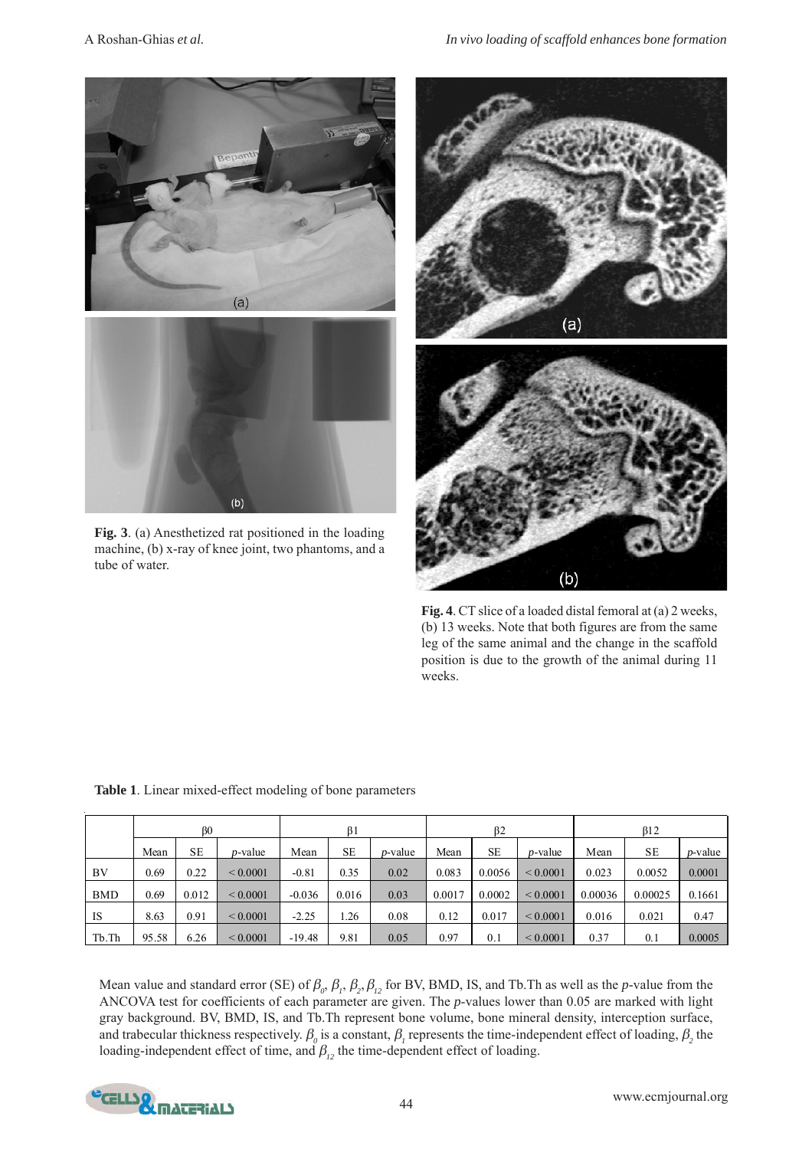

**Fig. 3**. (a) Anesthetized rat positioned in the loading machine, (b) x-ray of knee joint, two phantoms, and a tube of water.



**Fig. 4**. CT slice of a loaded distal femoral at (a) 2 weeks, (b) 13 weeks. Note that both figures are from the same leg of the same animal and the change in the scaffold position is due to the growth of the animal during 11 weeks.

|            | BO    |       |                 | B <sub>1</sub> |       |                 | β2     |        |                 | $\beta$ 12 |           |            |
|------------|-------|-------|-----------------|----------------|-------|-----------------|--------|--------|-----------------|------------|-----------|------------|
|            | Mean  | SE    | <i>p</i> -value | Mean           | SE    | <i>p</i> -value | Mean   | SE     | <i>p</i> -value | Mean       | <b>SE</b> | $p$ -value |
| BV         | 0.69  | 0.22  | ${}_{0.0001}$   | $-0.81$        | 0.35  | 0.02            | 0.083  | 0.0056 | ${}< 0.0001$    | 0.023      | 0.0052    | 0.0001     |
| <b>BMD</b> | 0.69  | 0.012 | ${}_{0.0001}$   | $-0.036$       | 0.016 | 0.03            | 0.0017 | 0.0002 | ${}< 0.0001$    | 0.00036    | 0.00025   | 0.1661     |
| IS         | 8.63  | 0.91  | ${}_{0.0001}$   | $-2.25$        | 1.26  | 0.08            | 0.12   | 0.017  | ${}< 0.0001$    | 0.016      | 0.021     | 0.47       |
| Tb.Th      | 95.58 | 6.26  | ${}_{0.0001}$   | $-19.48$       | 9.81  | 0.05            | 0.97   | 0.1    | ${}< 0.0001$    | 0.37       | 0.1       | 0.0005     |

**Table 1**. Linear mixed-effect modeling of bone parameters

Mean value and standard error (SE) of  $\beta_0$ ,  $\beta_1$ ,  $\beta_2$ ,  $\beta_{12}$  for BV, BMD, IS, and Tb.Th as well as the *p*-value from the ANCOVA test for coefficients of each parameter are given. The *p*-values lower than 0.05 are marked with light gray background. BV, BMD, IS, and Tb.Th represent bone volume, bone mineral density, interception surface, and trabecular thickness respectively.  $\beta_o$  is a constant,  $\beta_I$  represents the time-independent effect of loading,  $\beta_2$  the loading-independent effect of time, and  $\beta_{12}$  the time-dependent effect of loading.

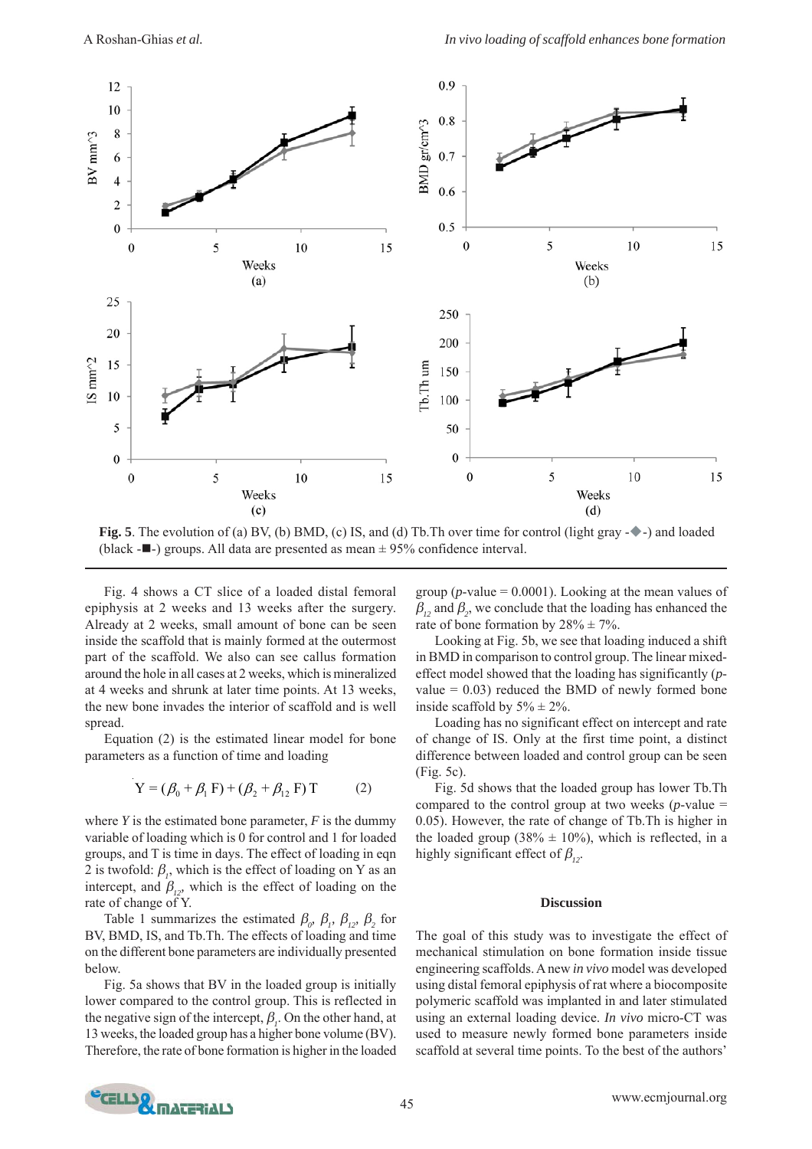

**Fig. 5**. The evolution of (a) BV, (b) BMD, (c) IS, and (d) Tb. Th over time for control (light gray - $\rightarrow$ ) and loaded (black  $-\blacksquare$ ) groups. All data are presented as mean  $\pm$  95% confidence interval.

Fig. 4 shows a CT slice of a loaded distal femoral epiphysis at 2 weeks and 13 weeks after the surgery. Already at 2 weeks, small amount of bone can be seen inside the scaffold that is mainly formed at the outermost part of the scaffold. We also can see callus formation around the hole in all cases at 2 weeks, which is mineralized at 4 weeks and shrunk at later time points. At 13 weeks, the new bone invades the interior of scaffold and is well spread.

Equation (2) is the estimated linear model for bone parameters as a function of time and loading

$$
Y = (\beta_0 + \beta_1 F) + (\beta_2 + \beta_{12} F) T
$$
 (2)

where  $Y$  is the estimated bone parameter,  $F$  is the dummy variable of loading which is 0 for control and 1 for loaded groups, and T is time in days. The effect of loading in eqn 2 is twofold:  $\beta$ <sub>*p*</sub>, which is the effect of loading on Y as an intercept, and  $\beta_{12}$ <sup>*, which is the effect of loading on the*</sup> rate of change of Y.

Table 1 summarizes the estimated  $\beta_{\alpha}$ ,  $\beta_{1}$ ,  $\beta_{12}$ ,  $\beta_{2}$  for BV, BMD, IS, and Tb.Th. The effects of loading and time on the different bone parameters are individually presented below.

Fig. 5a shows that BV in the loaded group is initially lower compared to the control group. This is reflected in the negative sign of the intercept,  $\beta_i$ . On the other hand, at 13 weeks, the loaded group has a higher bone volume (BV). Therefore, the rate of bone formation is higher in the loaded

group ( $p$ -value = 0.0001). Looking at the mean values of  $\beta_{12}$  and  $\beta_{2}$ , we conclude that the loading has enhanced the rate of bone formation by  $28\% \pm 7\%$ .

Looking at Fig. 5b, we see that loading induced a shift in BMD in comparison to control group. The linear mixedeffect model showed that the loading has significantly (*p*value  $= 0.03$ ) reduced the BMD of newly formed bone inside scaffold by  $5\% \pm 2\%$ .

Loading has no significant effect on intercept and rate of change of IS. Only at the first time point, a distinct difference between loaded and control group can be seen (Fig. 5c).

Fig. 5d shows that the loaded group has lower Tb.Th compared to the control group at two weeks  $(p$ -value  $=$ 0.05). However, the rate of change of Tb.Th is higher in the loaded group (38%  $\pm$  10%), which is reflected, in a highly significant effect of  $\beta_{i2}$ .

#### **Discussion**

The goal of this study was to investigate the effect of mechanical stimulation on bone formation inside tissue engineering scaffolds. A new *in vivo* model was developed using distal femoral epiphysis of rat where a biocomposite polymeric scaffold was implanted in and later stimulated using an external loading device. *In vivo* micro-CT was used to measure newly formed bone parameters inside scaffold at several time points. To the best of the authors'

![](_page_4_Picture_16.jpeg)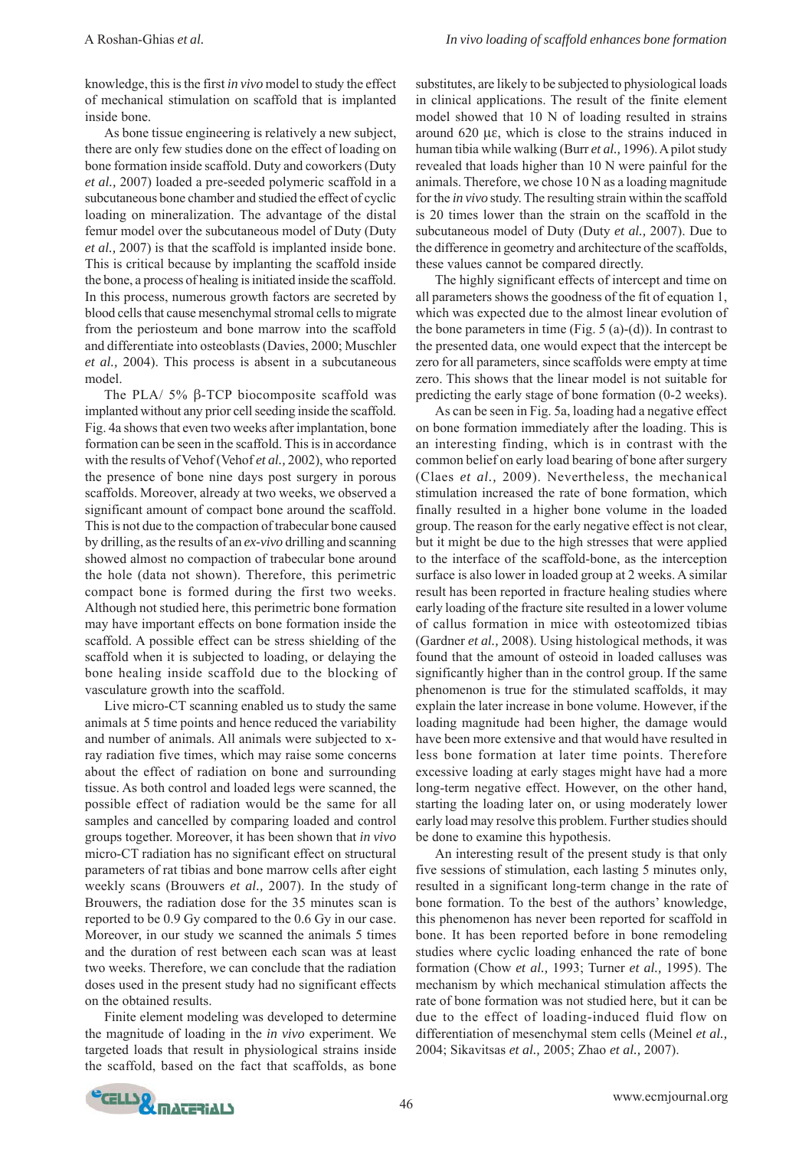knowledge, this is the first *in vivo* model to study the effect of mechanical stimulation on scaffold that is implanted inside bone.

As bone tissue engineering is relatively a new subject, there are only few studies done on the effect of loading on bone formation inside scaffold. Duty and coworkers (Duty *et al.,* 2007) loaded a pre-seeded polymeric scaffold in a subcutaneous bone chamber and studied the effect of cyclic loading on mineralization. The advantage of the distal femur model over the subcutaneous model of Duty (Duty *et al.,* 2007) is that the scaffold is implanted inside bone. This is critical because by implanting the scaffold inside the bone, a process of healing is initiated inside the scaffold. In this process, numerous growth factors are secreted by blood cells that cause mesenchymal stromal cells to migrate from the periosteum and bone marrow into the scaffold and differentiate into osteoblasts (Davies, 2000; Muschler *et al.,* 2004). This process is absent in a subcutaneous model.

The PLA/ 5% β-TCP biocomposite scaffold was implanted without any prior cell seeding inside the scaffold. Fig. 4a shows that even two weeks after implantation, bone formation can be seen in the scaffold. This is in accordance with the results of Vehof (Vehof *et al.,* 2002), who reported the presence of bone nine days post surgery in porous scaffolds. Moreover, already at two weeks, we observed a significant amount of compact bone around the scaffold. This is not due to the compaction of trabecular bone caused by drilling, as the results of an *ex-vivo* drilling and scanning showed almost no compaction of trabecular bone around the hole (data not shown). Therefore, this perimetric compact bone is formed during the first two weeks. Although not studied here, this perimetric bone formation may have important effects on bone formation inside the scaffold. A possible effect can be stress shielding of the scaffold when it is subjected to loading, or delaying the bone healing inside scaffold due to the blocking of vasculature growth into the scaffold.

Live micro-CT scanning enabled us to study the same animals at 5 time points and hence reduced the variability and number of animals. All animals were subjected to xray radiation five times, which may raise some concerns about the effect of radiation on bone and surrounding tissue. As both control and loaded legs were scanned, the possible effect of radiation would be the same for all samples and cancelled by comparing loaded and control groups together. Moreover, it has been shown that *in vivo* micro-CT radiation has no significant effect on structural parameters of rat tibias and bone marrow cells after eight weekly scans (Brouwers *et al.,* 2007). In the study of Brouwers, the radiation dose for the 35 minutes scan is reported to be 0.9 Gy compared to the 0.6 Gy in our case. Moreover, in our study we scanned the animals 5 times and the duration of rest between each scan was at least two weeks. Therefore, we can conclude that the radiation doses used in the present study had no significant effects on the obtained results.

Finite element modeling was developed to determine the magnitude of loading in the *in vivo* experiment. We targeted loads that result in physiological strains inside the scaffold, based on the fact that scaffolds, as bone

substitutes, are likely to be subjected to physiological loads in clinical applications. The result of the finite element model showed that 10 N of loading resulted in strains around 620 με, which is close to the strains induced in human tibia while walking (Burr *et al.,* 1996). A pilot study revealed that loads higher than 10 N were painful for the animals. Therefore, we chose 10 N as a loading magnitude for the *in vivo* study. The resulting strain within the scaffold is 20 times lower than the strain on the scaffold in the subcutaneous model of Duty (Duty *et al.,* 2007). Due to the difference in geometry and architecture of the scaffolds, these values cannot be compared directly.

The highly significant effects of intercept and time on all parameters shows the goodness of the fit of equation 1, which was expected due to the almost linear evolution of the bone parameters in time (Fig.  $5$  (a)-(d)). In contrast to the presented data, one would expect that the intercept be zero for all parameters, since scaffolds were empty at time zero. This shows that the linear model is not suitable for predicting the early stage of bone formation (0-2 weeks).

As can be seen in Fig. 5a, loading had a negative effect on bone formation immediately after the loading. This is an interesting finding, which is in contrast with the common belief on early load bearing of bone after surgery (Claes *et al.,* 2009). Nevertheless, the mechanical stimulation increased the rate of bone formation, which finally resulted in a higher bone volume in the loaded group. The reason for the early negative effect is not clear, but it might be due to the high stresses that were applied to the interface of the scaffold-bone, as the interception surface is also lower in loaded group at 2 weeks. A similar result has been reported in fracture healing studies where early loading of the fracture site resulted in a lower volume of callus formation in mice with osteotomized tibias (Gardner *et al.,* 2008). Using histological methods, it was found that the amount of osteoid in loaded calluses was significantly higher than in the control group. If the same phenomenon is true for the stimulated scaffolds, it may explain the later increase in bone volume. However, if the loading magnitude had been higher, the damage would have been more extensive and that would have resulted in less bone formation at later time points. Therefore excessive loading at early stages might have had a more long-term negative effect. However, on the other hand, starting the loading later on, or using moderately lower early load may resolve this problem. Further studies should be done to examine this hypothesis.

An interesting result of the present study is that only five sessions of stimulation, each lasting 5 minutes only, resulted in a significant long-term change in the rate of bone formation. To the best of the authors' knowledge, this phenomenon has never been reported for scaffold in bone. It has been reported before in bone remodeling studies where cyclic loading enhanced the rate of bone formation (Chow *et al.,* 1993; Turner *et al.,* 1995). The mechanism by which mechanical stimulation affects the rate of bone formation was not studied here, but it can be due to the effect of loading-induced fluid flow on differentiation of mesenchymal stem cells (Meinel *et al.,* 2004; Sikavitsas *et al.,* 2005; Zhao *et al.,* 2007).

![](_page_5_Picture_11.jpeg)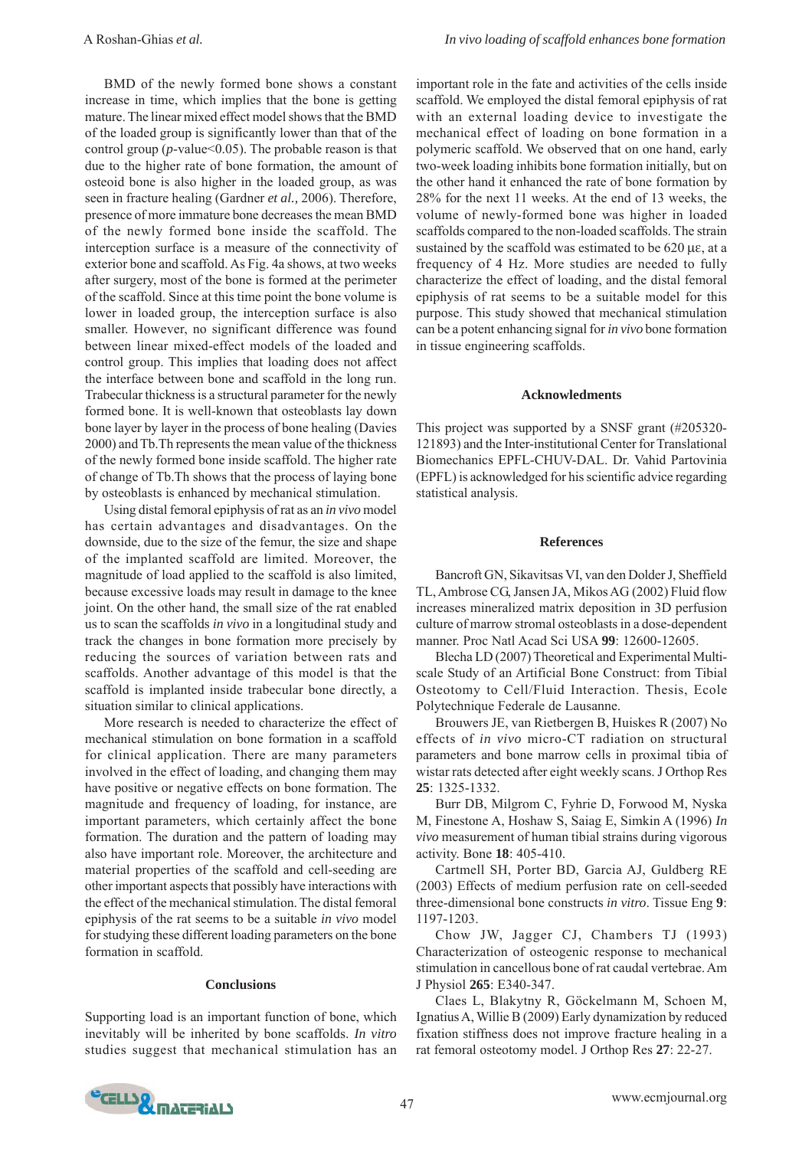BMD of the newly formed bone shows a constant increase in time, which implies that the bone is getting mature. The linear mixed effect model shows that the BMD of the loaded group is significantly lower than that of the control group ( $p$ -value  $(0.05)$ ). The probable reason is that due to the higher rate of bone formation, the amount of osteoid bone is also higher in the loaded group, as was seen in fracture healing (Gardner *et al.,* 2006). Therefore, presence of more immature bone decreases the mean BMD of the newly formed bone inside the scaffold. The interception surface is a measure of the connectivity of exterior bone and scaffold. As Fig. 4a shows, at two weeks after surgery, most of the bone is formed at the perimeter of the scaffold. Since at this time point the bone volume is lower in loaded group, the interception surface is also smaller. However, no significant difference was found between linear mixed-effect models of the loaded and control group. This implies that loading does not affect the interface between bone and scaffold in the long run. Trabecular thickness is a structural parameter for the newly formed bone. It is well-known that osteoblasts lay down bone layer by layer in the process of bone healing (Davies 2000) and Tb.Th represents the mean value of the thickness of the newly formed bone inside scaffold. The higher rate of change of Tb.Th shows that the process of laying bone by osteoblasts is enhanced by mechanical stimulation.

Using distal femoral epiphysis of rat as an *in vivo* model has certain advantages and disadvantages. On the downside, due to the size of the femur, the size and shape of the implanted scaffold are limited. Moreover, the magnitude of load applied to the scaffold is also limited, because excessive loads may result in damage to the knee joint. On the other hand, the small size of the rat enabled us to scan the scaffolds *in vivo* in a longitudinal study and track the changes in bone formation more precisely by reducing the sources of variation between rats and scaffolds. Another advantage of this model is that the scaffold is implanted inside trabecular bone directly, a situation similar to clinical applications.

More research is needed to characterize the effect of mechanical stimulation on bone formation in a scaffold for clinical application. There are many parameters involved in the effect of loading, and changing them may have positive or negative effects on bone formation. The magnitude and frequency of loading, for instance, are important parameters, which certainly affect the bone formation. The duration and the pattern of loading may also have important role. Moreover, the architecture and material properties of the scaffold and cell-seeding are other important aspects that possibly have interactions with the effect of the mechanical stimulation. The distal femoral epiphysis of the rat seems to be a suitable *in vivo* model for studying these different loading parameters on the bone formation in scaffold.

#### **Conclusions**

Supporting load is an important function of bone, which inevitably will be inherited by bone scaffolds. *In vitro* studies suggest that mechanical stimulation has an

important role in the fate and activities of the cells inside scaffold. We employed the distal femoral epiphysis of rat with an external loading device to investigate the mechanical effect of loading on bone formation in a polymeric scaffold. We observed that on one hand, early two-week loading inhibits bone formation initially, but on the other hand it enhanced the rate of bone formation by 28% for the next 11 weeks. At the end of 13 weeks, the volume of newly-formed bone was higher in loaded scaffolds compared to the non-loaded scaffolds. The strain sustained by the scaffold was estimated to be 620 με, at a frequency of 4 Hz. More studies are needed to fully characterize the effect of loading, and the distal femoral epiphysis of rat seems to be a suitable model for this purpose. This study showed that mechanical stimulation can be a potent enhancing signal for *in vivo* bone formation in tissue engineering scaffolds.

#### **Acknowledments**

This project was supported by a SNSF grant (#205320- 121893) and the Inter-institutional Center for Translational Biomechanics EPFL-CHUV-DAL. Dr. Vahid Partovinia (EPFL) is acknowledged for his scientific advice regarding statistical analysis.

#### **References**

Bancroft GN, Sikavitsas VI, van den Dolder J, Sheffield TL, Ambrose CG, Jansen JA, Mikos AG (2002) Fluid flow increases mineralized matrix deposition in 3D perfusion culture of marrow stromal osteoblasts in a dose-dependent manner. Proc Natl Acad Sci USA **99**: 12600-12605.

Blecha LD (2007) Theoretical and Experimental Multiscale Study of an Artificial Bone Construct: from Tibial Osteotomy to Cell/Fluid Interaction. Thesis, Ecole Polytechnique Federale de Lausanne.

Brouwers JE, van Rietbergen B, Huiskes R (2007) No effects of *in vivo* micro-CT radiation on structural parameters and bone marrow cells in proximal tibia of wistar rats detected after eight weekly scans. J Orthop Res **25**: 1325-1332.

Burr DB, Milgrom C, Fyhrie D, Forwood M, Nyska M, Finestone A, Hoshaw S, Saiag E, Simkin A (1996) *In vivo* measurement of human tibial strains during vigorous activity. Bone **18**: 405-410.

Cartmell SH, Porter BD, Garcia AJ, Guldberg RE (2003) Effects of medium perfusion rate on cell-seeded three-dimensional bone constructs *in vitro*. Tissue Eng **9**: 1197-1203.

Chow JW, Jagger CJ, Chambers TJ (1993) Characterization of osteogenic response to mechanical stimulation in cancellous bone of rat caudal vertebrae. Am J Physiol **265**: E340-347.

Claes L, Blakytny R, Göckelmann M, Schoen M, Ignatius A, Willie B (2009) Early dynamization by reduced fixation stiffness does not improve fracture healing in a rat femoral osteotomy model. J Orthop Res **27**: 22-27.

![](_page_6_Picture_18.jpeg)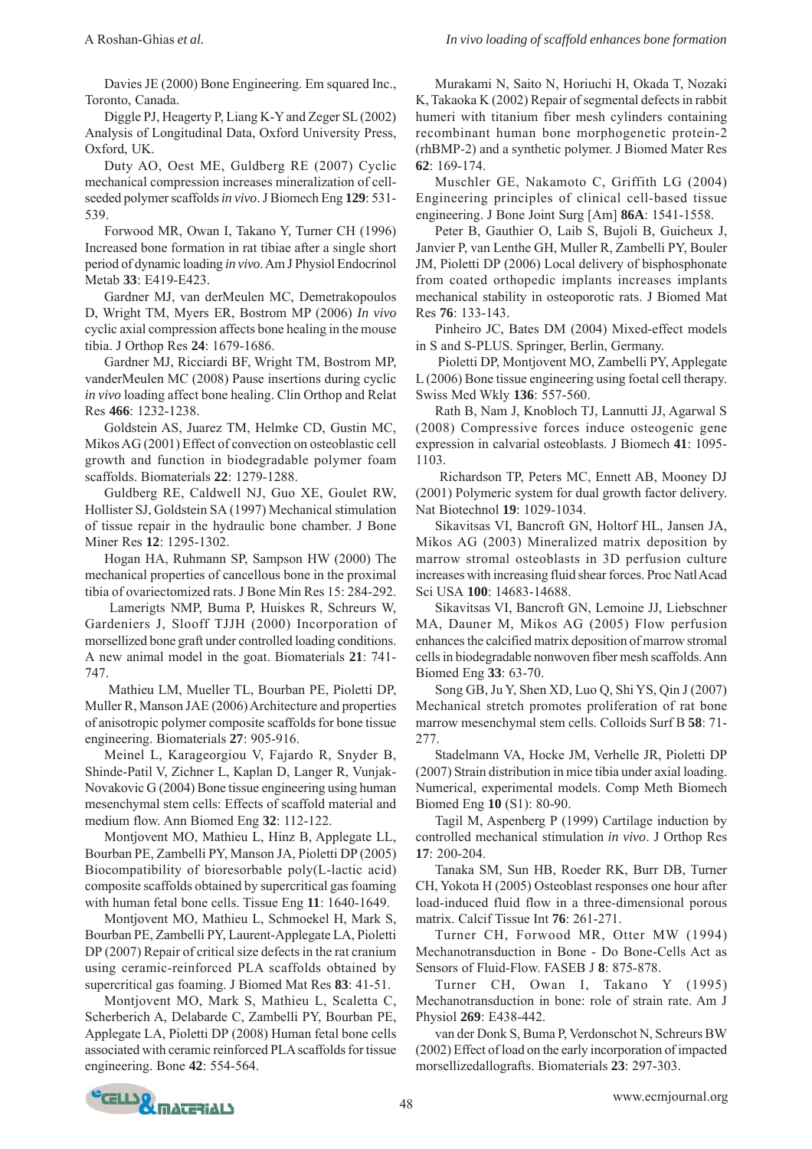Davies JE (2000) Bone Engineering. Em squared Inc., Toronto, Canada.

Diggle PJ, Heagerty P, Liang K-Y and Zeger SL (2002) Analysis of Longitudinal Data, Oxford University Press, Oxford, UK.

Duty AO, Oest ME, Guldberg RE (2007) Cyclic mechanical compression increases mineralization of cellseeded polymer scaffolds *in vivo*. J Biomech Eng **129**: 531- 539.

Forwood MR, Owan I, Takano Y, Turner CH (1996) Increased bone formation in rat tibiae after a single short period of dynamic loading *in vivo*. Am J Physiol Endocrinol Metab **33**: E419-E423.

Gardner MJ, van derMeulen MC, Demetrakopoulos D, Wright TM, Myers ER, Bostrom MP (2006) *In vivo* cyclic axial compression affects bone healing in the mouse tibia. J Orthop Res **24**: 1679-1686.

Gardner MJ, Ricciardi BF, Wright TM, Bostrom MP, vanderMeulen MC (2008) Pause insertions during cyclic *in vivo* loading affect bone healing. Clin Orthop and Relat Res **466**: 1232-1238.

Goldstein AS, Juarez TM, Helmke CD, Gustin MC, Mikos AG (2001) Effect of convection on osteoblastic cell growth and function in biodegradable polymer foam scaffolds. Biomaterials **22**: 1279-1288.

Guldberg RE, Caldwell NJ, Guo XE, Goulet RW, Hollister SJ, Goldstein SA (1997) Mechanical stimulation of tissue repair in the hydraulic bone chamber. J Bone Miner Res **12**: 1295-1302.

Hogan HA, Ruhmann SP, Sampson HW (2000) The mechanical properties of cancellous bone in the proximal tibia of ovariectomized rats. J Bone Min Res 15: 284-292.

 Lamerigts NMP, Buma P, Huiskes R, Schreurs W, Gardeniers J, Slooff TJJH (2000) Incorporation of morsellized bone graft under controlled loading conditions. A new animal model in the goat. Biomaterials **21**: 741- 747.

 Mathieu LM, Mueller TL, Bourban PE, Pioletti DP, Muller R, Manson JAE (2006) Architecture and properties of anisotropic polymer composite scaffolds for bone tissue engineering. Biomaterials **27**: 905-916.

Meinel L, Karageorgiou V, Fajardo R, Snyder B, Shinde-Patil V, Zichner L, Kaplan D, Langer R, Vunjak-Novakovic G (2004) Bone tissue engineering using human mesenchymal stem cells: Effects of scaffold material and medium flow. Ann Biomed Eng **32**: 112-122.

Montjovent MO, Mathieu L, Hinz B, Applegate LL, Bourban PE, Zambelli PY, Manson JA, Pioletti DP (2005) Biocompatibility of bioresorbable poly(L-lactic acid) composite scaffolds obtained by supercritical gas foaming with human fetal bone cells. Tissue Eng **11**: 1640-1649.

Montjovent MO, Mathieu L, Schmoekel H, Mark S, Bourban PE, Zambelli PY, Laurent-Applegate LA, Pioletti DP (2007) Repair of critical size defects in the rat cranium using ceramic-reinforced PLA scaffolds obtained by supercritical gas foaming. J Biomed Mat Res **83**: 41-51.

Montjovent MO, Mark S, Mathieu L, Scaletta C, Scherberich A, Delabarde C, Zambelli PY, Bourban PE, Applegate LA, Pioletti DP (2008) Human fetal bone cells associated with ceramic reinforced PLA scaffolds for tissue engineering. Bone **42**: 554-564.

Murakami N, Saito N, Horiuchi H, Okada T, Nozaki K, Takaoka K (2002) Repair of segmental defects in rabbit humeri with titanium fiber mesh cylinders containing recombinant human bone morphogenetic protein-2 (rhBMP-2) and a synthetic polymer. J Biomed Mater Res **62**: 169-174.

Muschler GE, Nakamoto C, Griffith LG (2004) Engineering principles of clinical cell-based tissue engineering. J Bone Joint Surg [Am] **86A**: 1541-1558.

Peter B, Gauthier O, Laib S, Bujoli B, Guicheux J, Janvier P, van Lenthe GH, Muller R, Zambelli PY, Bouler JM, Pioletti DP (2006) Local delivery of bisphosphonate from coated orthopedic implants increases implants mechanical stability in osteoporotic rats. J Biomed Mat Res **76**: 133-143.

Pinheiro JC, Bates DM (2004) Mixed-effect models in S and S-PLUS. Springer, Berlin, Germany.

 Pioletti DP, Montjovent MO, Zambelli PY, Applegate L (2006) Bone tissue engineering using foetal cell therapy. Swiss Med Wkly **136**: 557-560.

Rath B, Nam J, Knobloch TJ, Lannutti JJ, Agarwal S (2008) Compressive forces induce osteogenic gene expression in calvarial osteoblasts. J Biomech **41**: 1095- 1103.

 Richardson TP, Peters MC, Ennett AB, Mooney DJ (2001) Polymeric system for dual growth factor delivery. Nat Biotechnol **19**: 1029-1034.

Sikavitsas VI, Bancroft GN, Holtorf HL, Jansen JA, Mikos AG (2003) Mineralized matrix deposition by marrow stromal osteoblasts in 3D perfusion culture increases with increasing fluid shear forces. Proc Natl Acad Sci USA **100**: 14683-14688.

Sikavitsas VI, Bancroft GN, Lemoine JJ, Liebschner MA, Dauner M, Mikos AG (2005) Flow perfusion enhances the calcified matrix deposition of marrow stromal cells in biodegradable nonwoven fiber mesh scaffolds. Ann Biomed Eng **33**: 63-70.

Song GB, Ju Y, Shen XD, Luo Q, Shi YS, Qin J (2007) Mechanical stretch promotes proliferation of rat bone marrow mesenchymal stem cells. Colloids Surf B **58**: 71- 277.

Stadelmann VA, Hocke JM, Verhelle JR, Pioletti DP (2007) Strain distribution in mice tibia under axial loading. Numerical, experimental models. Comp Meth Biomech Biomed Eng **10** (S1): 80-90.

Tagil M, Aspenberg P (1999) Cartilage induction by controlled mechanical stimulation *in vivo*. J Orthop Res **17**: 200-204.

Tanaka SM, Sun HB, Roeder RK, Burr DB, Turner CH, Yokota H (2005) Osteoblast responses one hour after load-induced fluid flow in a three-dimensional porous matrix. Calcif Tissue Int **76**: 261-271.

Turner CH, Forwood MR, Otter MW (1994) Mechanotransduction in Bone - Do Bone-Cells Act as Sensors of Fluid-Flow. FASEB J **8**: 875-878.

Turner CH, Owan I, Takano Y (1995) Mechanotransduction in bone: role of strain rate. Am J Physiol **269**: E438-442.

van der Donk S, Buma P, Verdonschot N, Schreurs BW (2002) Effect of load on the early incorporation of impacted morsellizedallografts. Biomaterials **23**: 297-303.

![](_page_7_Picture_33.jpeg)